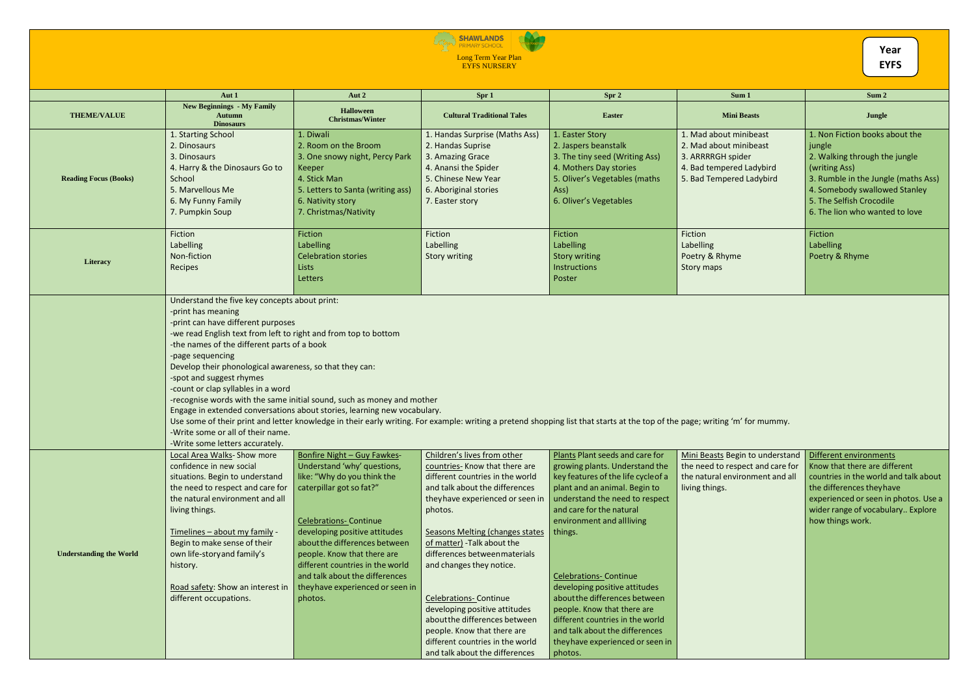## ENTERTOGETHER SHAWLANDS

Long Term Year Plan EYFS NURSERY

|                                | Aut 1                                                                                                                                                                                                                                                                                                                                                                                                                                                | Aut 2                                                                                                                                                                                                                                                                                                                                                                        | Spr 1                                                                                                                                                                                                                                                                                                                                                                                                                                                                                                                             | Spr 2                                                                                                                                                                                                                                                                                                                                                                                                                                                                                                  | Sum 1                                                                                                                         | Sum 2                                                                                                                                                                                                                            |
|--------------------------------|------------------------------------------------------------------------------------------------------------------------------------------------------------------------------------------------------------------------------------------------------------------------------------------------------------------------------------------------------------------------------------------------------------------------------------------------------|------------------------------------------------------------------------------------------------------------------------------------------------------------------------------------------------------------------------------------------------------------------------------------------------------------------------------------------------------------------------------|-----------------------------------------------------------------------------------------------------------------------------------------------------------------------------------------------------------------------------------------------------------------------------------------------------------------------------------------------------------------------------------------------------------------------------------------------------------------------------------------------------------------------------------|--------------------------------------------------------------------------------------------------------------------------------------------------------------------------------------------------------------------------------------------------------------------------------------------------------------------------------------------------------------------------------------------------------------------------------------------------------------------------------------------------------|-------------------------------------------------------------------------------------------------------------------------------|----------------------------------------------------------------------------------------------------------------------------------------------------------------------------------------------------------------------------------|
| <b>THEME/VALUE</b>             | <b>New Beginnings - My Family</b><br><b>Autumn</b><br><b>Dinosaurs</b>                                                                                                                                                                                                                                                                                                                                                                               | <b>Halloween</b><br><b>Christmas/Winter</b>                                                                                                                                                                                                                                                                                                                                  | <b>Cultural Traditional Tales</b>                                                                                                                                                                                                                                                                                                                                                                                                                                                                                                 | <b>Easter</b>                                                                                                                                                                                                                                                                                                                                                                                                                                                                                          | <b>Mini Beasts</b>                                                                                                            | Jungle                                                                                                                                                                                                                           |
| <b>Reading Focus (Books)</b>   | 1. Starting School<br>2. Dinosaurs<br>3. Dinosaurs<br>4. Harry & the Dinosaurs Go to<br>School<br>5. Marvellous Me<br>6. My Funny Family<br>7. Pumpkin Soup                                                                                                                                                                                                                                                                                          | 1. Diwali<br>2. Room on the Broom<br>3. One snowy night, Percy Park<br>Keeper<br>4. Stick Man<br>5. Letters to Santa (writing ass)<br>6. Nativity story<br>7. Christmas/Nativity                                                                                                                                                                                             | 1. Handas Surprise (Maths Ass)<br>2. Handas Suprise<br>3. Amazing Grace<br>4. Anansi the Spider<br>5. Chinese New Year<br>6. Aboriginal stories<br>7. Easter story                                                                                                                                                                                                                                                                                                                                                                | 1. Easter Story<br>2. Jaspers beanstalk<br>3. The tiny seed (Writing Ass)<br>4. Mothers Day stories<br>5. Oliver's Vegetables (maths<br>Ass)<br>6. Oliver's Vegetables                                                                                                                                                                                                                                                                                                                                 | 1. Mad about minibeast<br>2. Mad about minibeast<br>3. ARRRRGH spider<br>4. Bad tempered Ladybird<br>5. Bad Tempered Ladybird | 1. Non Fiction books about the<br>jungle<br>2. Walking through the jungle<br>(writing Ass)<br>3. Rumble in the Jungle (maths Ass)<br>4. Somebody swallowed Stanley<br>5. The Selfish Crocodile<br>6. The lion who wanted to love |
| Literacy                       | Fiction<br>Labelling<br>Non-fiction<br>Recipes                                                                                                                                                                                                                                                                                                                                                                                                       | Fiction<br>Labelling<br><b>Celebration stories</b><br>Lists<br>Letters                                                                                                                                                                                                                                                                                                       | Fiction<br>Labelling<br><b>Story writing</b>                                                                                                                                                                                                                                                                                                                                                                                                                                                                                      | Fiction<br>Labelling<br><b>Story writing</b><br>Instructions<br>Poster                                                                                                                                                                                                                                                                                                                                                                                                                                 | Fiction<br>Labelling<br>Poetry & Rhyme<br><b>Story maps</b>                                                                   | Fiction<br>Labelling<br>Poetry & Rhyme                                                                                                                                                                                           |
|                                | Understand the five key concepts about print:<br>-print has meaning<br>-print can have different purposes<br>-we read English text from left to right and from top to bottom<br>-the names of the different parts of a book<br>-page sequencing<br>Develop their phonological awareness, so that they can:<br>-spot and suggest rhymes<br>-count or clap syllables in a word<br>-Write some or all of their name.<br>-Write some letters accurately. | -recognise words with the same initial sound, such as money and mother<br>Engage in extended conversations about stories, learning new vocabulary.                                                                                                                                                                                                                           | Use some of their print and letter knowledge in their early writing. For example: writing a pretend shopping list that starts at the top of the page; writing 'm' for mummy.                                                                                                                                                                                                                                                                                                                                                      |                                                                                                                                                                                                                                                                                                                                                                                                                                                                                                        |                                                                                                                               |                                                                                                                                                                                                                                  |
| <b>Understanding the World</b> | <b>Local Area Walks- Show more</b><br>confidence in new social<br>situations. Begin to understand<br>the need to respect and care for<br>the natural environment and all<br>living things.<br>Timelines - about my family -<br>Begin to make sense of their<br>own life-story and family's<br>history.<br>Road safety: Show an interest in<br>different occupations.                                                                                 | Bonfire Night - Guy Fawkes-<br>Understand 'why' questions,<br>like: "Why do you think the<br>caterpillar got so fat?"<br><b>Celebrations- Continue</b><br>developing positive attitudes<br>about the differences between<br>people. Know that there are<br>different countries in the world<br>and talk about the differences<br>they have experienced or seen in<br>photos. | Children's lives from other<br>countries- Know that there are<br>different countries in the world<br>and talk about the differences<br>they have experienced or seen in<br>photos.<br><b>Seasons Melting (changes states)</b><br>of matter) - Talk about the<br>differences between materials<br>and changes they notice.<br><b>Celebrations- Continue</b><br>developing positive attitudes<br>about the differences between<br>people. Know that there are<br>different countries in the world<br>and talk about the differences | Plants Plant seeds and care for<br>growing plants. Understand the<br>key features of the life cycle of a<br>plant and an animal. Begin to<br>understand the need to respect<br>and care for the natural<br>environment and allliving<br>things.<br><b>Celebrations- Continue</b><br>developing positive attitudes<br>about the differences between<br>people. Know that there are<br>different countries in the world<br>and talk about the differences<br>they have experienced or seen in<br>photos. | Mini Beasts Begin to understand<br>the need to respect and care for<br>the natural environment and all<br>living things.      | Different environments<br>Know that there are different<br>countries in the world and talk about<br>the differences they have<br>experienced or seen in photos. Use a<br>wider range of vocabulary Explore<br>how things work.   |

| Year        |
|-------------|
| <b>EYFS</b> |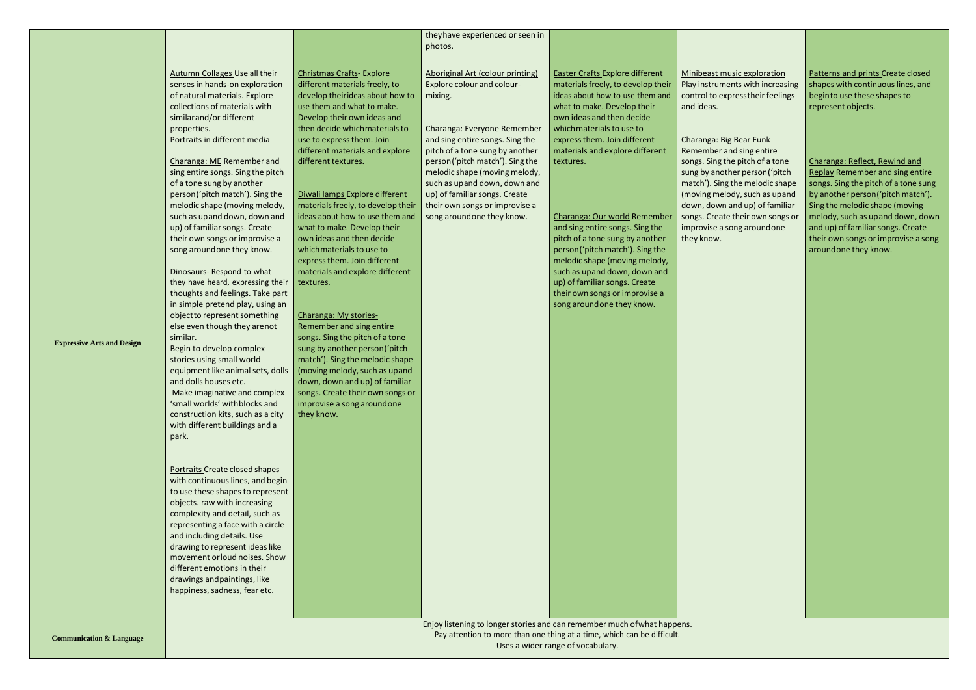|                                   |                                      |                                    | they have experienced or seen in                                         |                                        |                                   |                                        |
|-----------------------------------|--------------------------------------|------------------------------------|--------------------------------------------------------------------------|----------------------------------------|-----------------------------------|----------------------------------------|
|                                   |                                      |                                    | photos.                                                                  |                                        |                                   |                                        |
|                                   |                                      |                                    |                                                                          |                                        |                                   |                                        |
|                                   | <b>Autumn Collages Use all their</b> | <b>Christmas Crafts- Explore</b>   | Aboriginal Art (colour printing)                                         | <b>Easter Crafts Explore different</b> | Minibeast music exploration       | Patterns and prints Create closed      |
|                                   |                                      |                                    |                                                                          |                                        |                                   |                                        |
|                                   | senses in hands-on exploration       | different materials freely, to     | Explore colour and colour-                                               | materials freely, to develop their     | Play instruments with increasing  | shapes with continuous lines, and      |
|                                   | of natural materials. Explore        | develop theirideas about how to    | mixing.                                                                  | ideas about how to use them and        | control to express their feelings | beginto use these shapes to            |
|                                   | collections of materials with        | use them and what to make.         |                                                                          | what to make. Develop their            | and ideas.                        | represent objects.                     |
|                                   | similar and/or different             | Develop their own ideas and        |                                                                          | own ideas and then decide              |                                   |                                        |
|                                   | properties.                          | then decide which materials to     | Charanga: Everyone Remember                                              | which materials to use to              |                                   |                                        |
|                                   | Portraits in different media         | use to express them. Join          | and sing entire songs. Sing the                                          | express them. Join different           | Charanga: Big Bear Funk           |                                        |
|                                   |                                      | different materials and explore    | pitch of a tone sung by another                                          | materials and explore different        | Remember and sing entire          |                                        |
|                                   | Charanga: ME Remember and            | different textures.                | person ('pitch match'). Sing the                                         | textures.                              | songs. Sing the pitch of a tone   | Charanga: Reflect, Rewind and          |
|                                   | sing entire songs. Sing the pitch    |                                    | melodic shape (moving melody,                                            |                                        | sung by another person ('pitch    | <b>Replay Remember and sing entire</b> |
|                                   | of a tone sung by another            |                                    | such as upand down, down and                                             |                                        | match'). Sing the melodic shape   | songs. Sing the pitch of a tone sung   |
|                                   | person('pitch match'). Sing the      | Diwali lamps Explore different     | up) of familiar songs. Create                                            |                                        | (moving melody, such as upand     | by another person ('pitch match').     |
|                                   | melodic shape (moving melody,        | materials freely, to develop their | their own songs or improvise a                                           |                                        | down, down and up) of familiar    | Sing the melodic shape (moving         |
|                                   | such as upand down, down and         | ideas about how to use them and    | song aroundone they know.                                                | Charanga: Our world Remember           | songs. Create their own songs or  | melody, such as upand down, down       |
|                                   | up) of familiar songs. Create        | what to make. Develop their        |                                                                          | and sing entire songs. Sing the        | improvise a song aroundone        | and up) of familiar songs. Create      |
|                                   | their own songs or improvise a       | own ideas and then decide          |                                                                          | pitch of a tone sung by another        | they know.                        | their own songs or improvise a song    |
|                                   |                                      | which materials to use to          |                                                                          |                                        |                                   | aroundone they know.                   |
|                                   | song around one they know.           |                                    |                                                                          | person('pitch match'). Sing the        |                                   |                                        |
|                                   |                                      | express them. Join different       |                                                                          | melodic shape (moving melody,          |                                   |                                        |
|                                   | Dinosaurs-Respond to what            | materials and explore different    |                                                                          | such as upand down, down and           |                                   |                                        |
|                                   | they have heard, expressing their    | textures.                          |                                                                          | up) of familiar songs. Create          |                                   |                                        |
|                                   | thoughts and feelings. Take part     |                                    |                                                                          | their own songs or improvise a         |                                   |                                        |
|                                   | in simple pretend play, using an     |                                    |                                                                          | song around one they know.             |                                   |                                        |
|                                   | objectto represent something         | Charanga: My stories-              |                                                                          |                                        |                                   |                                        |
|                                   | else even though they arenot         | Remember and sing entire           |                                                                          |                                        |                                   |                                        |
| <b>Expressive Arts and Design</b> | similar.                             | songs. Sing the pitch of a tone    |                                                                          |                                        |                                   |                                        |
|                                   | Begin to develop complex             | sung by another person ('pitch     |                                                                          |                                        |                                   |                                        |
|                                   | stories using small world            | match'). Sing the melodic shape    |                                                                          |                                        |                                   |                                        |
|                                   | equipment like animal sets, dolls    | (moving melody, such as upand      |                                                                          |                                        |                                   |                                        |
|                                   | and dolls houses etc.                | down, down and up) of familiar     |                                                                          |                                        |                                   |                                        |
|                                   | Make imaginative and complex         | songs. Create their own songs or   |                                                                          |                                        |                                   |                                        |
|                                   | 'small worlds' with blocks and       | improvise a song aroundone         |                                                                          |                                        |                                   |                                        |
|                                   | construction kits, such as a city    | they know.                         |                                                                          |                                        |                                   |                                        |
|                                   | with different buildings and a       |                                    |                                                                          |                                        |                                   |                                        |
|                                   | park.                                |                                    |                                                                          |                                        |                                   |                                        |
|                                   |                                      |                                    |                                                                          |                                        |                                   |                                        |
|                                   |                                      |                                    |                                                                          |                                        |                                   |                                        |
|                                   | Portraits Create closed shapes       |                                    |                                                                          |                                        |                                   |                                        |
|                                   | with continuous lines, and begin     |                                    |                                                                          |                                        |                                   |                                        |
|                                   | to use these shapes to represent     |                                    |                                                                          |                                        |                                   |                                        |
|                                   |                                      |                                    |                                                                          |                                        |                                   |                                        |
|                                   | objects. raw with increasing         |                                    |                                                                          |                                        |                                   |                                        |
|                                   | complexity and detail, such as       |                                    |                                                                          |                                        |                                   |                                        |
|                                   | representing a face with a circle    |                                    |                                                                          |                                        |                                   |                                        |
|                                   | and including details. Use           |                                    |                                                                          |                                        |                                   |                                        |
|                                   | drawing to represent ideas like      |                                    |                                                                          |                                        |                                   |                                        |
|                                   | movement or loud noises. Show        |                                    |                                                                          |                                        |                                   |                                        |
|                                   | different emotions in their          |                                    |                                                                          |                                        |                                   |                                        |
|                                   | drawings and paintings, like         |                                    |                                                                          |                                        |                                   |                                        |
|                                   | happiness, sadness, fear etc.        |                                    |                                                                          |                                        |                                   |                                        |
|                                   |                                      |                                    |                                                                          |                                        |                                   |                                        |
|                                   |                                      |                                    |                                                                          |                                        |                                   |                                        |
|                                   |                                      |                                    | Enjoy listening to longer stories and can remember much of what happens. |                                        |                                   |                                        |

Enjoy listening to longer stories and can remember much of what happens. Pay attention to more than one thing at a time, which can be difficult. Uses a wider range of vocabulary.

**Communication & Language**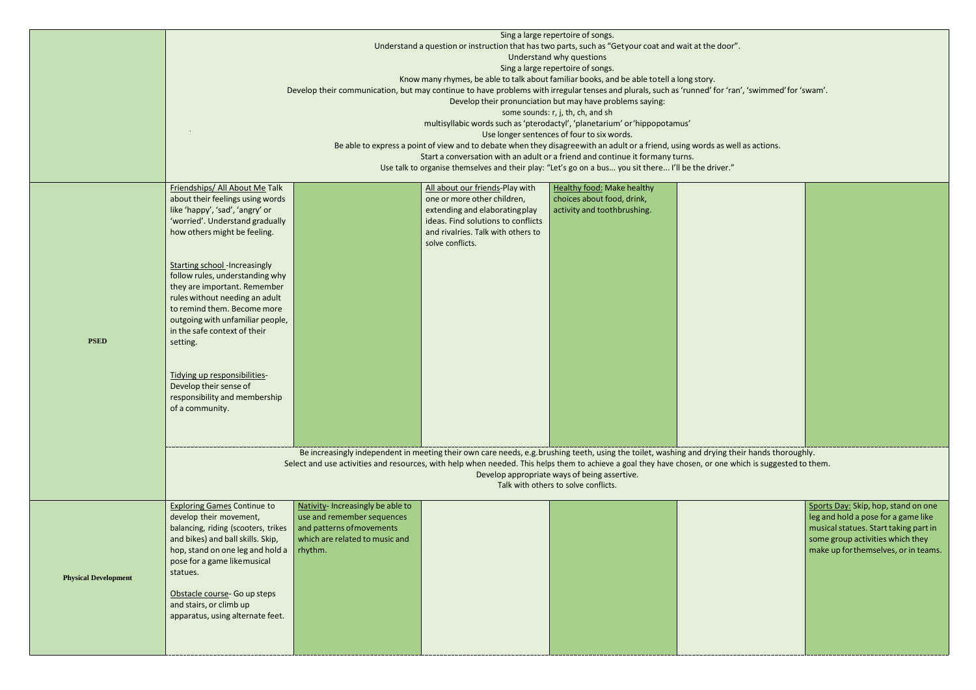|                             | Sing a large repertoire of songs.                                                                                                                                                                                |                                   |                                    |                                                                                                                               |                                                                                                                                                        |        |
|-----------------------------|------------------------------------------------------------------------------------------------------------------------------------------------------------------------------------------------------------------|-----------------------------------|------------------------------------|-------------------------------------------------------------------------------------------------------------------------------|--------------------------------------------------------------------------------------------------------------------------------------------------------|--------|
|                             | Understand a question or instruction that has two parts, such as "Getyour coat and wait at the door".<br>Understand why questions                                                                                |                                   |                                    |                                                                                                                               |                                                                                                                                                        |        |
|                             | Sing a large repertoire of songs.                                                                                                                                                                                |                                   |                                    |                                                                                                                               |                                                                                                                                                        |        |
|                             | Know many rhymes, be able to talk about familiar books, and be able to tell a long story.                                                                                                                        |                                   |                                    |                                                                                                                               |                                                                                                                                                        |        |
|                             | Develop their communication, but may continue to have problems with irregular tenses and plurals, such as 'runned' for 'ran', 'swimmed' for 'swam'.<br>Develop their pronunciation but may have problems saying: |                                   |                                    |                                                                                                                               |                                                                                                                                                        |        |
|                             |                                                                                                                                                                                                                  |                                   |                                    |                                                                                                                               |                                                                                                                                                        |        |
|                             |                                                                                                                                                                                                                  |                                   |                                    | some sounds: r, j, th, ch, and sh                                                                                             |                                                                                                                                                        |        |
|                             |                                                                                                                                                                                                                  |                                   |                                    | multisyllabic words such as 'pterodactyl', 'planetarium' or 'hippopotamus'<br>Use longer sentences of four to six words.      |                                                                                                                                                        |        |
|                             |                                                                                                                                                                                                                  |                                   |                                    | Be able to express a point of view and to debate when they disagreewith an adult or a friend, using words as well as actions. |                                                                                                                                                        |        |
|                             |                                                                                                                                                                                                                  |                                   |                                    | Start a conversation with an adult or a friend and continue it formany turns.                                                 |                                                                                                                                                        |        |
|                             |                                                                                                                                                                                                                  |                                   |                                    | Use talk to organise themselves and their play: "Let's go on a bus you sit there I'll be the driver."                         |                                                                                                                                                        |        |
|                             | Friendships/ All About Me Talk                                                                                                                                                                                   |                                   | All about our friends-Play with    | <b>Healthy food: Make healthy</b>                                                                                             |                                                                                                                                                        |        |
|                             | about their feelings using words                                                                                                                                                                                 |                                   | one or more other children,        | choices about food, drink,                                                                                                    |                                                                                                                                                        |        |
|                             | like 'happy', 'sad', 'angry' or                                                                                                                                                                                  |                                   | extending and elaborating play     | activity and toothbrushing.                                                                                                   |                                                                                                                                                        |        |
|                             | 'worried'. Understand gradually                                                                                                                                                                                  |                                   | ideas. Find solutions to conflicts |                                                                                                                               |                                                                                                                                                        |        |
|                             | how others might be feeling.                                                                                                                                                                                     |                                   | and rivalries. Talk with others to |                                                                                                                               |                                                                                                                                                        |        |
|                             |                                                                                                                                                                                                                  |                                   | solve conflicts.                   |                                                                                                                               |                                                                                                                                                        |        |
|                             |                                                                                                                                                                                                                  |                                   |                                    |                                                                                                                               |                                                                                                                                                        |        |
|                             | <b>Starting school-Increasingly</b><br>follow rules, understanding why                                                                                                                                           |                                   |                                    |                                                                                                                               |                                                                                                                                                        |        |
|                             | they are important. Remember                                                                                                                                                                                     |                                   |                                    |                                                                                                                               |                                                                                                                                                        |        |
|                             | rules without needing an adult                                                                                                                                                                                   |                                   |                                    |                                                                                                                               |                                                                                                                                                        |        |
|                             | to remind them. Become more                                                                                                                                                                                      |                                   |                                    |                                                                                                                               |                                                                                                                                                        |        |
|                             | outgoing with unfamiliar people,                                                                                                                                                                                 |                                   |                                    |                                                                                                                               |                                                                                                                                                        |        |
|                             | in the safe context of their                                                                                                                                                                                     |                                   |                                    |                                                                                                                               |                                                                                                                                                        |        |
| <b>PSED</b>                 | setting.                                                                                                                                                                                                         |                                   |                                    |                                                                                                                               |                                                                                                                                                        |        |
|                             |                                                                                                                                                                                                                  |                                   |                                    |                                                                                                                               |                                                                                                                                                        |        |
|                             | Tidying up responsibilities-                                                                                                                                                                                     |                                   |                                    |                                                                                                                               |                                                                                                                                                        |        |
|                             | Develop their sense of                                                                                                                                                                                           |                                   |                                    |                                                                                                                               |                                                                                                                                                        |        |
|                             | responsibility and membership                                                                                                                                                                                    |                                   |                                    |                                                                                                                               |                                                                                                                                                        |        |
|                             | of a community.                                                                                                                                                                                                  |                                   |                                    |                                                                                                                               |                                                                                                                                                        |        |
|                             |                                                                                                                                                                                                                  |                                   |                                    |                                                                                                                               |                                                                                                                                                        |        |
|                             |                                                                                                                                                                                                                  |                                   |                                    |                                                                                                                               |                                                                                                                                                        |        |
|                             |                                                                                                                                                                                                                  |                                   |                                    |                                                                                                                               | Be increasingly independent in meeting their own care needs, e.g. brushing teeth, using the toilet, washing and drying their hands thoroughly.         |        |
|                             |                                                                                                                                                                                                                  |                                   |                                    |                                                                                                                               | Select and use activities and resources, with help when needed. This helps them to achieve a goal they have chosen, or one which is suggested to them. |        |
|                             |                                                                                                                                                                                                                  |                                   |                                    | Develop appropriate ways of being assertive.                                                                                  |                                                                                                                                                        |        |
|                             |                                                                                                                                                                                                                  |                                   |                                    | Talk with others to solve conflicts.                                                                                          |                                                                                                                                                        |        |
|                             | <b>Exploring Games Continue to</b>                                                                                                                                                                               | Nativity- Increasingly be able to |                                    |                                                                                                                               |                                                                                                                                                        | Sport  |
|                             | develop their movement,                                                                                                                                                                                          | use and remember sequences        |                                    |                                                                                                                               |                                                                                                                                                        | leg an |
|                             | balancing, riding (scooters, trikes                                                                                                                                                                              | and patterns of movements         |                                    |                                                                                                                               |                                                                                                                                                        | music  |
|                             | and bikes) and ball skills. Skip,                                                                                                                                                                                | which are related to music and    |                                    |                                                                                                                               |                                                                                                                                                        | some   |
|                             | hop, stand on one leg and hold a                                                                                                                                                                                 | rhythm.                           |                                    |                                                                                                                               |                                                                                                                                                        | make   |
|                             | pose for a game like musical                                                                                                                                                                                     |                                   |                                    |                                                                                                                               |                                                                                                                                                        |        |
| <b>Physical Development</b> | statues.                                                                                                                                                                                                         |                                   |                                    |                                                                                                                               |                                                                                                                                                        |        |
|                             | Obstacle course- Go up steps                                                                                                                                                                                     |                                   |                                    |                                                                                                                               |                                                                                                                                                        |        |
|                             | and stairs, or climb up                                                                                                                                                                                          |                                   |                                    |                                                                                                                               |                                                                                                                                                        |        |
|                             | apparatus, using alternate feet.                                                                                                                                                                                 |                                   |                                    |                                                                                                                               |                                                                                                                                                        |        |
|                             |                                                                                                                                                                                                                  |                                   |                                    |                                                                                                                               |                                                                                                                                                        |        |
|                             |                                                                                                                                                                                                                  |                                   |                                    |                                                                                                                               |                                                                                                                                                        |        |
|                             |                                                                                                                                                                                                                  |                                   |                                    |                                                                                                                               |                                                                                                                                                        |        |



Sports Day: Skip, hop, stand on one leg and hold a pose for a game like musical statues. Start taking part in some group activities which they make up forthemselves, or in teams.